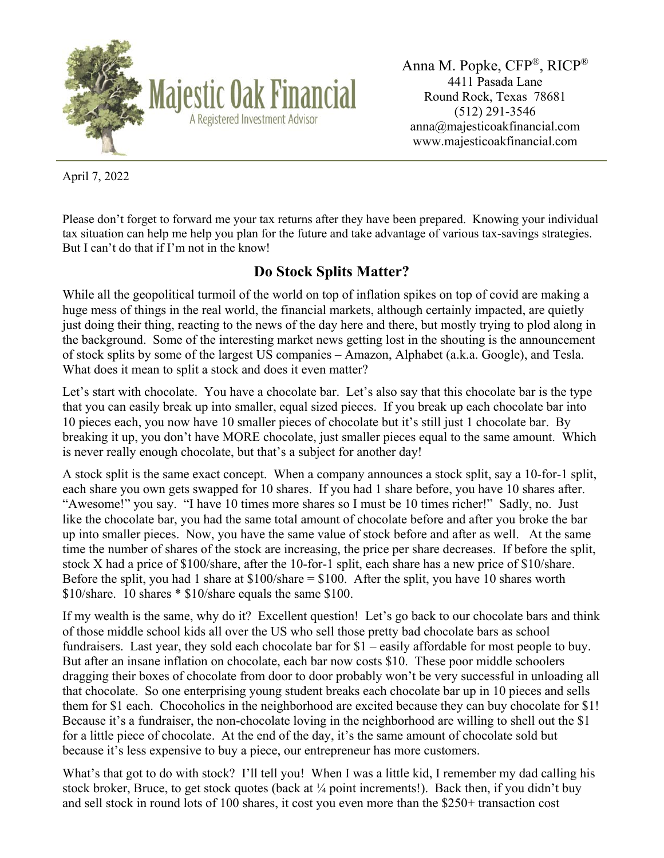

Anna M. Popke, CFP®, RICP® 4411 Pasada Lane Round Rock, Texas 78681 (512) 291-3546 anna@majesticoakfinancial.com www.majesticoakfinancial.com

April 7, 2022

Please don't forget to forward me your tax returns after they have been prepared. Knowing your individual tax situation can help me help you plan for the future and take advantage of various tax-savings strategies. But I can't do that if I'm not in the know!

## **Do Stock Splits Matter?**

While all the geopolitical turmoil of the world on top of inflation spikes on top of covid are making a huge mess of things in the real world, the financial markets, although certainly impacted, are quietly just doing their thing, reacting to the news of the day here and there, but mostly trying to plod along in the background. Some of the interesting market news getting lost in the shouting is the announcement of stock splits by some of the largest US companies – Amazon, Alphabet (a.k.a. Google), and Tesla. What does it mean to split a stock and does it even matter?

Let's start with chocolate. You have a chocolate bar. Let's also say that this chocolate bar is the type that you can easily break up into smaller, equal sized pieces. If you break up each chocolate bar into 10 pieces each, you now have 10 smaller pieces of chocolate but it's still just 1 chocolate bar. By breaking it up, you don't have MORE chocolate, just smaller pieces equal to the same amount. Which is never really enough chocolate, but that's a subject for another day!

A stock split is the same exact concept. When a company announces a stock split, say a 10-for-1 split, each share you own gets swapped for 10 shares. If you had 1 share before, you have 10 shares after. "Awesome!" you say. "I have 10 times more shares so I must be 10 times richer!" Sadly, no. Just like the chocolate bar, you had the same total amount of chocolate before and after you broke the bar up into smaller pieces. Now, you have the same value of stock before and after as well. At the same time the number of shares of the stock are increasing, the price per share decreases. If before the split, stock X had a price of \$100/share, after the 10-for-1 split, each share has a new price of \$10/share. Before the split, you had 1 share at  $$100/s$  hare  $= $100$ . After the split, you have 10 shares worth \$10/share. 10 shares \* \$10/share equals the same \$100.

If my wealth is the same, why do it? Excellent question! Let's go back to our chocolate bars and think of those middle school kids all over the US who sell those pretty bad chocolate bars as school fundraisers. Last year, they sold each chocolate bar for \$1 – easily affordable for most people to buy. But after an insane inflation on chocolate, each bar now costs \$10. These poor middle schoolers dragging their boxes of chocolate from door to door probably won't be very successful in unloading all that chocolate. So one enterprising young student breaks each chocolate bar up in 10 pieces and sells them for \$1 each. Chocoholics in the neighborhood are excited because they can buy chocolate for \$1! Because it's a fundraiser, the non-chocolate loving in the neighborhood are willing to shell out the \$1 for a little piece of chocolate. At the end of the day, it's the same amount of chocolate sold but because it's less expensive to buy a piece, our entrepreneur has more customers.

What's that got to do with stock? I'll tell you! When I was a little kid, I remember my dad calling his stock broker, Bruce, to get stock quotes (back at ¼ point increments!). Back then, if you didn't buy and sell stock in round lots of 100 shares, it cost you even more than the \$250+ transaction cost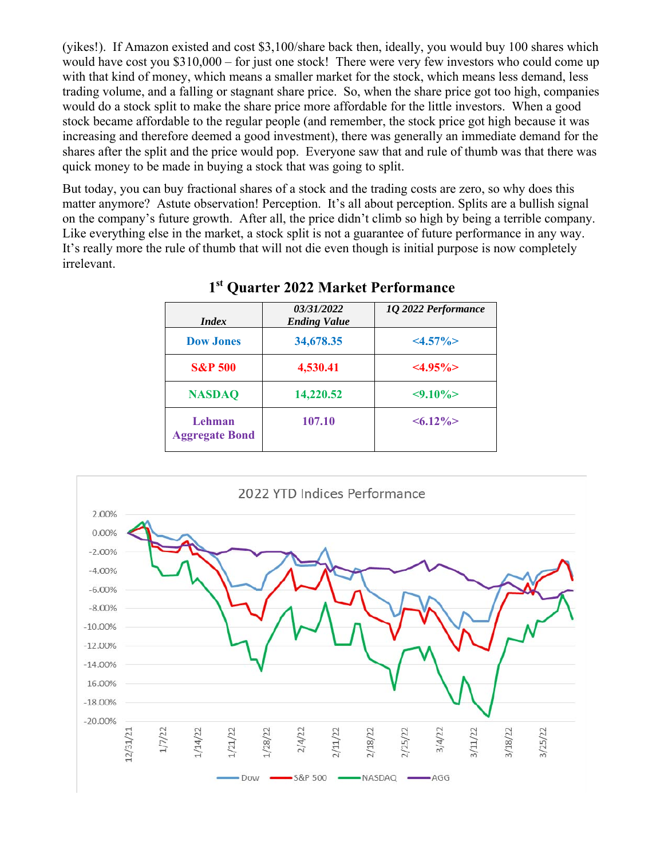(yikes!). If Amazon existed and cost \$3,100/share back then, ideally, you would buy 100 shares which would have cost you \$310,000 – for just one stock! There were very few investors who could come up with that kind of money, which means a smaller market for the stock, which means less demand, less trading volume, and a falling or stagnant share price. So, when the share price got too high, companies would do a stock split to make the share price more affordable for the little investors. When a good stock became affordable to the regular people (and remember, the stock price got high because it was increasing and therefore deemed a good investment), there was generally an immediate demand for the shares after the split and the price would pop. Everyone saw that and rule of thumb was that there was quick money to be made in buying a stock that was going to split.

But today, you can buy fractional shares of a stock and the trading costs are zero, so why does this matter anymore? Astute observation! Perception. It's all about perception. Splits are a bullish signal on the company's future growth. After all, the price didn't climb so high by being a terrible company. Like everything else in the market, a stock split is not a guarantee of future performance in any way. It's really more the rule of thumb that will not die even though is initial purpose is now completely irrelevant.

| <i>Index</i>                    | 03/31/2022<br><b>Ending Value</b> | 1Q 2022 Performance |
|---------------------------------|-----------------------------------|---------------------|
| <b>Dow Jones</b>                | 34,678.35                         | $<\!\!4.57\%<\!\!>$ |
| <b>S&amp;P 500</b>              | 4,530.41                          | $<\!\!4.95\%<\!\!>$ |
| <b>NASDAQ</b>                   | 14,220.52                         | $< 9.10\% >$        |
| Lehman<br><b>Aggregate Bond</b> | 107.10                            | $\leq 6.12\%$       |

## **1st Quarter 2022 Market Performance**